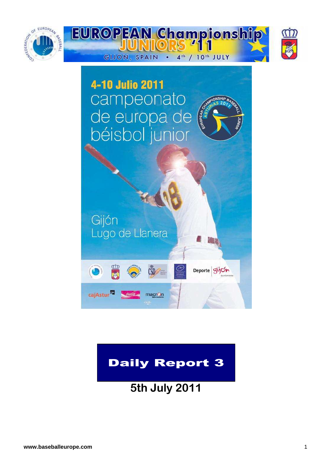



## Daily Report 3

**5th July 2011**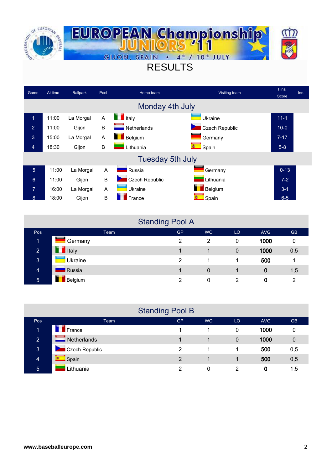

## RESULTS

| Game            | At time | <b>Ballpark</b> | Pool | Home team               | Visiting team  | Final    | Inn. |
|-----------------|---------|-----------------|------|-------------------------|----------------|----------|------|
|                 |         |                 |      |                         |                | Score    |      |
|                 |         |                 |      | Monday 4th July         |                |          |      |
| $\mathbf 1$     | 11:00   | La Morgal       | A    | $\blacksquare$ Italy    | Ukraine        | $11 - 1$ |      |
| $\overline{2}$  | 11:00   | Gijon           | B    | Netherlands             | Czech Republic | $10-0$   |      |
| 3               | 15:00   | La Morgal       | A    | <b>Belgium</b>          | Germany        | $7 - 17$ |      |
| $\overline{4}$  | 18:30   | Gijon           | B    | Lithuania               | Spain          | $5-8$    |      |
|                 |         |                 |      | <b>Tuesday 5th July</b> |                |          |      |
| $5\phantom{.}$  | 11:00   | La Morgal       | A    | Russia                  | Germany        | $0 - 13$ |      |
| $6\phantom{1}6$ | 11:00   | Gijon           | B    | Czech Republic          | Lithuania      | $7 - 2$  |      |
| 7               | 16:00   | La Morgal       | Α    | Ukraine                 | Belgium        | $3 - 1$  |      |
| 8               | 18:00   | Gijon           | B    | France                  | Spain          | $6 - 5$  |      |

### Standing Pool A

|                |                | ~         |           |    |            |           |
|----------------|----------------|-----------|-----------|----|------------|-----------|
| Pos            | Team           | <b>GP</b> | <b>WO</b> | LO | <b>AVG</b> | <b>GB</b> |
| 1              | -<br>Germany   | 2         | 2         | 0  | 1000       | 0         |
| $\overline{2}$ | <b>T</b> Italy |           |           | 0  | 1000       | 0,5       |
| 3              | Ukraine        | 2         |           |    | 500        |           |
| $\overline{4}$ | Russia         |           | 0         |    | 0          | 1,5       |
| $\overline{5}$ | Belgium        | っ         | 0         | 2  | 0          | っ         |

|                |                | <b>Standing Pool B</b> |           |    |            |           |
|----------------|----------------|------------------------|-----------|----|------------|-----------|
| <b>Pos</b>     | Team           | <b>GP</b>              | <b>WO</b> | LO | <b>AVG</b> | <b>GB</b> |
| 1              | <b>France</b>  |                        |           | 0  | 1000       | 0         |
| $\overline{2}$ | Netherlands    |                        |           | 0  | 1000       | 0         |
| 3              | Czech Republic | 2                      |           |    | 500        | 0,5       |
| $\overline{4}$ | ø.<br>Spain    | $\mathcal{P}$          |           |    | 500        | 0,5       |
| $\overline{5}$ | ithuania       | 2                      | 0         | 2  | 0          | 1,5       |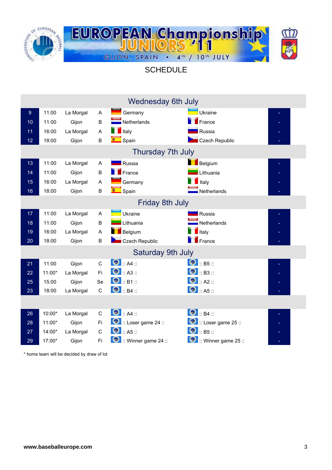

**SCHEDULE** 

|                  |        |           |              | <b>Wednesday 6th July</b>     |                               |   |
|------------------|--------|-----------|--------------|-------------------------------|-------------------------------|---|
| $\boldsymbol{9}$ | 11:00  | La Morgal | A            | Germany                       | Ukraine                       |   |
| 10               | 11:00  | Gijon     | B            | $\blacksquare$ Netherlands    | $\mathsf{F}$ rance            |   |
| 11               | 16:00  | La Morgal | A            | $\blacksquare$ Italy          | Russia                        |   |
| 12               | 18:00  | Gijon     | B            | <b>Contract Spain</b>         | Czech Republic                |   |
|                  |        |           |              | Thursday 7th July             |                               |   |
| 13               | 11:00  | La Morgal | A            | <b>R</b> ussia                | Belgium                       |   |
| 14               | 11:00  | Gijon     | $\sf B$      | $F$ rance                     | Lithuania                     |   |
| 15               | 16:00  | La Morgal | A            | Germany                       | Italy                         |   |
| 16               | 18:00  | Gijon     | B            | Spain                         | Netherlands                   |   |
|                  |        |           |              | Friday 8th July               |                               |   |
| 17 <sub>2</sub>  | 11:00  | La Morgal | $\mathsf{A}$ | Ukraine                       | Russia                        |   |
| 18               | 11:00  | Gijon     | B            | Lithuania                     | $\blacksquare$ Netherlands    |   |
| 19               | 16:00  | La Morgal | A            | <b>Belgium</b>                | Italy                         |   |
| 20               | 18:00  | Gijon     | B            | Czech Republic                | France                        |   |
|                  |        |           |              | <b>Saturday 9th July</b>      |                               |   |
| 21               | 11:00  | Gijon     | $\mathsf C$  | $\bigcirc$ :: A4 ::           | $\bigcirc$ :: B5 ::           |   |
| 22               | 11:00* | La Morgal | Fi           | $\bullet$ :: A3 ::            | $\bigcirc$ :: B3 ::           |   |
| 25               | 15:00  | Gijon     | Se           | $\bigcirc$ :: B1 ::           | $\bullet$ $\mathsf{R2}$ ::    |   |
| 23               | 18:00  | La Morgal | $\mathsf{C}$ | $\bigcirc$ :: B4 ::           | $\bigcirc$ :: A5 ::           |   |
|                  |        |           |              |                               |                               |   |
| 26               | 10:00* | La Morgal | $\mathsf{C}$ | $\bullet$ :: A4 ::            | $\bigcirc$ :: B4 ::           | ÷ |
| 28               | 11:00* | Gijon     | Fi           | $\bullet$ :: Loser game 24 :: | $\bullet$ :: Loser game 25 :: |   |
| 27               | 14:00* | La Morgal | $\mathbf C$  | $\bullet$ :: A5 ::            | $\bigcirc$ :: B5 ::           |   |
| 29               | 17:00* | Gijon     | Fi           | Winner game 24 ::             | $::$ Winner game 25 $::$      |   |

\* home team will be decided by draw of lot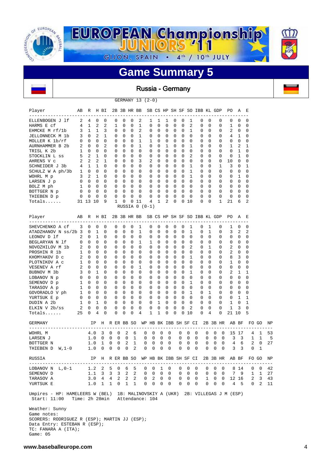

Russia - Germany

GERMANY 13 (2-0)

| Player                                                                                                                        | AВ             | R             |               | H BI         |   |          | 2B 3B HR BB  |             |                                          |                |              |   |                       |          |                            |                | SB CS HP SH SF SO IBB KL GDP |          |                         |          | PO.                                        | Α                | Е                                                             |       |                |
|-------------------------------------------------------------------------------------------------------------------------------|----------------|---------------|---------------|--------------|---|----------|--------------|-------------|------------------------------------------|----------------|--------------|---|-----------------------|----------|----------------------------|----------------|------------------------------|----------|-------------------------|----------|--------------------------------------------|------------------|---------------------------------------------------------------|-------|----------------|
| ELLENBOGEN J 1f                                                                                                               | 2              | 4             | 0             | 0            |   | 0        | 0            | 0           | 2                                        | 1              | 1            |   | 1                     | 0        | 0                          | 1              | 0                            |          | 0                       | 0        | 0                                          | 0                | 0                                                             |       |                |
| HARMS E cf                                                                                                                    | 4              | 1             | 2             | 2            |   | 1        | 0            | 0           | 1                                        | 0              | 0            |   | 0                     | 0        | 0                          | $\overline{2}$ | 0                            |          | 0                       | 0        | 1                                          | 0                | 0                                                             |       |                |
| EHMCKE M rf/1b                                                                                                                | 3              | 1             | 1             | 3            |   | 0        | 0            | 0           | 2                                        | 0              | 0            |   | 0                     | 0        | 0                          | 1              | 0                            |          | 0                       | 0        | 2                                          | 0                | 0                                                             |       |                |
| JELLONNECK M 1b                                                                                                               | 3              | 0             | 2             | 1            |   | 0        | 0            | 0           | 1                                        | 0              | 0            |   | 0                     | 0        | 0                          | 0              | 0                            |          | 0                       | 0        | 4                                          | 1                | 0                                                             |       |                |
| MOLLER K 1b/rf                                                                                                                | 0              | 0             | 0             | 0            |   | 0        | 0            | 0           | 1                                        | 1              | 0            |   | 0                     | 0        | $\mathbf 0$                | 0              | 0                            |          | 0                       | 0        | 0                                          | $\mathbf 0$      | 0                                                             |       |                |
| AURNHAMMER B 2b                                                                                                               | 2              | 0             | 0             | 2            |   | 0        | 0            | 0           | 1                                        | 0              | 0            |   | 1                     | 0        | 0                          | 1              | 0                            |          | 0                       | 0        | 1                                          | 2                | 1                                                             |       |                |
| TRISL K 2b                                                                                                                    | 1              | $\Omega$      | 0             | $\Omega$     |   | 0        | 0            | 0           | 0                                        | 0              | $\Omega$     |   | $\mathbf 0$           | 0        | $\Omega$                   | $\Omega$       | 0                            |          | $\Omega$                | 0        | 0                                          | 1                | $\mathbf 0$                                                   |       |                |
| STOCKLIN L ss                                                                                                                 | 5              | 2             | $\mathbf{1}$  | $\Omega$     |   | 0        | $\Omega$     | 0           | 0                                        | 0              | 0            |   | 0                     | 0        | $\mathbf 0$                | $\mathfrak{D}$ | 0                            |          | $\Omega$                | 0        | 0                                          | 1                | 0                                                             |       |                |
| AHRENS V c                                                                                                                    | 2              | 2             | 2             | $\mathbf{1}$ |   | 0        | $\Omega$     | 0           | 3                                        | $\overline{2}$ | $\Omega$     |   | 0                     | 0        | $\Omega$                   | $\Omega$       | 0                            |          | $\Omega$                | 0        | 10                                         | 0                | 0                                                             |       |                |
| SCHNEIDER J 3b                                                                                                                | 4              | 1             | 1             | $\Omega$     |   | 0        | 0            | 0           | 0                                        | 0              | 0            |   | 0                     | 0        | $\mathbf 0$                | $\mathbf{1}$   | 0                            |          | $\Omega$                | 1        | 3                                          | 0                | 1                                                             |       |                |
| SCHULZ W A ph/3b                                                                                                              | $\mathbf{1}$   | $\mathbf 0$   | 0             | $\Omega$     |   | $\Omega$ | 0            | 0           | 0                                        | 0              | 0            |   | 0                     | 0        | $\Omega$                   | 1              | 0                            |          | $\Omega$                | 0        | 0                                          | $\mathbf 0$      | 0                                                             |       |                |
| $\sim$ 3<br>WOHRL M p                                                                                                         |                | 2             | 1             | $\Omega$     |   | 0        | 0            | 0           | $\mathbf 0$                              | 0              | 0            |   | 0                     | 0        | $\mathbf 0$                | $\mathbf{1}$   | 0                            |          | $\Omega$                | 0        | 0                                          | 1                | 0                                                             |       |                |
| LARSEN J p                                                                                                                    | $\overline{0}$ | $\Omega$      | $\Omega$      | 0            |   | $\Omega$ | $\Omega$     | 0           | $\mathbf 0$                              | 0              | $\Omega$     |   | $\Omega$              | $\Omega$ | $\Omega$                   | $\Omega$       | 0                            | $\Omega$ |                         | 0        | 0                                          | $\Omega$         | 0                                                             |       |                |
| BOLZ M ph                                                                                                                     | 1              | $\Omega$      | $\Omega$      | $\Omega$     |   | 0        | $\Omega$     | 0           | 0                                        | 0              | $\Omega$     |   | 0                     | $\Omega$ | $\Omega$                   | $\Omega$       | 0                            |          | $\Omega$                | 0        | 0                                          | $\Omega$         | 0                                                             |       |                |
| BOTTGER N p                                                                                                                   | 0              | $\Omega$      | $\Omega$      | 0            |   | 0        | $\Omega$     | $\Omega$    | $\mathbf 0$                              | 0              | $\Omega$     |   | $\Omega$              | 0        | $\Omega$                   | $\Omega$       | 0                            |          | $\Omega$                | 0        | 0                                          | 0                | 0                                                             |       |                |
| THIEBEN D p                                                                                                                   | 0              | 0             | 0             | $\Omega$     |   | 0        | $\Omega$     | 0           | 0                                        | 0              | $\Omega$     |   | 0                     | 0        | $\Omega$                   | $\Omega$       | 0                            |          | $\Omega$                | 0        | 0                                          | 0                | 0                                                             |       |                |
| Totals                                                                                                                        | 31 13 10       |               |               | 9            |   | 1        | 0            | 0           | 11                                       | 4              | $\mathbf{1}$ |   | 2                     | $\Omega$ | $\Omega$                   | 10             | 0                            |          | $\Omega$                | 1        | 21                                         | 6                | 2                                                             |       |                |
|                                                                                                                               |                |               |               |              |   |          |              |             | RUSSIA $0 (0-1)$                         |                |              |   |                       |          |                            |                |                              |          |                         |          |                                            |                  |                                                               |       |                |
| Player                                                                                                                        | AВ             | R             |               | H BI         |   |          |              |             | 2B 3B HR BB SB CS HP SH SF SO IBB KL GDP |                |              |   |                       |          |                            |                |                              |          |                         |          | PO                                         | A                | Е                                                             |       |                |
| -----------------                                                                                                             |                |               |               |              |   |          |              |             |                                          |                |              |   |                       |          |                            |                |                              |          |                         |          |                                            |                  |                                                               |       |                |
| SHEVCHENKO A cf                                                                                                               | 3              | 0             | $\Omega$      | $\Omega$     |   | 0        | 0            | 0           | 1                                        | 0              | 0            |   | 0                     | 0        | 0                          | 1              | 0                            |          | 1                       | 0        | 1                                          | 0                | 0                                                             |       |                |
| ATADZHANOV N ss/2b 3                                                                                                          |                | 0             | 1             | 0            |   | 0        | 0            | 0           | 1                                        | 0              | 0            |   | 0                     | 0        | 0                          | 1              | 0                            |          | 1                       | 0        | 3                                          | 2                | 2                                                             |       |                |
| LEONOV D 1f                                                                                                                   | 2              | 0             | 1             | $\Omega$     |   | 0        | 0            | 0           | $\mathbf 0$                              | 0              | 0            |   | 0                     | 0        | 0                          | $\mathbf 0$    | 0                            |          | $\Omega$                | 0        | 0                                          | 0                | 0                                                             |       |                |
| BEGLARYAN N 1f                                                                                                                | 0              | 0             | $\Omega$      | 0            |   | 0        | 0            | 0           | 1                                        | 1              | 0            |   | 0                     | 0        | $\Omega$                   | 0              | 0                            |          | 0                       | 0        | 0                                          | 0                | 0                                                             |       |                |
| NOVOZHILOV M 1b                                                                                                               | 2              | 0             | 0             | 0            |   | 0        | 0            | 0           | $\mathbf 0$                              | 0              | 0            |   | 0                     | 0        | 0                          | 2              | 0                            |          | 1                       | 0        | 2                                          | 0                | 0                                                             |       |                |
| PROSHIN R 1b                                                                                                                  | 1              | 0             | 0             | 0            |   | 0        | 0            | 0           | 0                                        | 0              | 0            |   | 0                     | 0        | 0                          | 0              | 0                            |          | $\Omega$                | 0        | 2                                          | $\mathbf 0$      | 0                                                             |       |                |
| KHOMYAKOV D C                                                                                                                 | 2              | $\Omega$      | 0             | 0            |   | 0        | 0            | 0           | 0                                        | 0              | 0            |   | 0                     | 0        | 0                          | 1              | 0                            |          | 0                       | 0        | 8                                          | 3                | 0                                                             |       |                |
| PLOTNIKOV A C                                                                                                                 | 1              | 0             | 0             | 0            |   | 0        | 0            | 0           | 0                                        | 0              | 0            |   | 0                     | 0        | 0                          | 0              | 0                            |          | 0                       | 0        | 1                                          | 0                | 0                                                             |       |                |
| VESENEV A rf                                                                                                                  | 2              | $\Omega$      | 0             | 0            |   | 0        | 0            | 0           | 1                                        | 0              | 0            |   | 0                     | 0        | $\mathbf 0$                | 0              | 0                            |          | 0                       | 0        | 0                                          | 0                | 0                                                             |       |                |
| BUBNOV M 3b                                                                                                                   | 3              | 0             | 1             | 0            |   | 0        | 0            | 0           | $\mathbf 0$                              | 0              | 0            |   | 0                     | 0        | $\mathbf 0$                | 1              | 0                            |          | $\Omega$                | 0        | 2                                          | 1                | 1                                                             |       |                |
| LOBANOV N p                                                                                                                   | 0              | 0             | 0<br>$\Omega$ | 0            |   | 0        | 0            | 0           | $\mathbf 0$                              | 0              | 0            |   | 0                     | 0        | $\mathbf 0$                | 0              | 0                            |          | $\Omega$                | 0        | 0                                          | 0                | 0                                                             |       |                |
| SEMENOV D p                                                                                                                   | 1              | 0<br>$\Omega$ |               | 0<br>0       |   | 0        | 0<br>0       | 0<br>0      | $\mathbf 0$<br>$\mathbf 0$               | 0<br>0         | 0<br>0       |   | 0<br>0                | 0        | $\mathbf 0$<br>$\mathbf 0$ | 1<br>0         | 0                            |          | $\Omega$<br>$\mathbf 0$ | 0<br>0   | 0<br>0                                     | $\mathbf 0$      | 0<br>0                                                        |       |                |
| TARASOV A p                                                                                                                   | 1              |               | 0<br>0        | 0            |   | 0        | 0            | $\mathbf 0$ | $\mathbf 0$                              | 0              | $\mathbf 0$  |   | 0                     | 0<br>0   | 0                          | 1              | 0<br>0                       |          | 1                       | 0        | 0                                          | 0<br>$\mathbf 0$ | 0                                                             |       |                |
| GOVORADLO V ph                                                                                                                | 1              | 0<br>$\Omega$ | 0             | 0            |   | 0<br>0   | 0            | 0           | $\mathbf 0$                              | 0              | 0            |   | 0                     | 0        | $\Omega$                   | $\mathbf 0$    | 0                            | $\Omega$ |                         | $\Omega$ | 0                                          | 1                | 1                                                             |       |                |
| YURTSUK E p                                                                                                                   | 0              | 0             | 1             | 0            |   | 0        | 0            | 0           | 0                                        | 0              | 1            |   | 0                     | 0        | $\Omega$                   | $\Omega$       | 0                            |          | $\Omega$                | 0        | 1                                          | $\Omega$         | 1                                                             |       |                |
| DUDIN A 2b                                                                                                                    | 1<br>2         | 0             | 0             | 0            |   | 0        | 0            | 0           | 0                                        | 0              | 0            |   | 0                     | 0        | 0                          | $\overline{2}$ | 0                            |          | $\Omega$                | 0        | 1                                          | 3                | 0                                                             |       |                |
| ELKIN V 2b/ss<br>Totals                                                                                                       | 25             | 0             | 4             | 0            |   | 0        | 0            | 0           | 4                                        | 1              | 1            |   | 0                     | 0        | 0                          | 10             | 0                            |          | $\overline{4}$          | 0        | 21 10                                      |                  | 5                                                             |       |                |
|                                                                                                                               |                |               |               |              |   |          |              |             |                                          |                |              |   |                       |          |                            |                |                              |          |                         |          |                                            |                  |                                                               |       |                |
| GERMANY<br>----------------------                                                                                             |                |               | IP            | $- - -$      |   |          | H R ER BB SO |             |                                          |                |              |   | WP HB BK IBB SH SF CI |          |                            |                |                              |          |                         | 2B 3B HR | AB BF                                      |                  |                                                               | FO GO | ΝP             |
| WOHRL M                                                                                                                       |                | 4.0           |               | 3            | 0 | 0        | 2            | 6           |                                          | 0              | 0            | 0 | 0                     | 0        |                            | 0              | 0                            | 0        | 0                       | 0        |                                            | 15 17            | 4                                                             | 1     | 53             |
| LARSEN J                                                                                                                      |                | 1.0           |               | 0            | 0 | 0        | 0            | 1           |                                          | 0              | 0            | 0 | 0                     | 0        |                            | 0              | 0                            | 0        | 0                       | 0        | 3                                          | 3                | $\mathbf{1}$                                                  | 1     | 5              |
| BOTTGER N                                                                                                                     |                | 1.0           |               | 1            | 0 | 0        | 2            | 1           |                                          | 0              | 0            | 0 | 0                     | 0        |                            | 0              | 0                            | 0        | 0                       | 0        | 4                                          | 6                | 2                                                             | 0     | 27             |
| THIEBEN D W, 1-0                                                                                                              |                | 1.0           |               | 0            | 0 | 0        | $\mathbf 0$  | 2           |                                          | 0              | 0            | 0 | $\mathbf 0$           | 0        |                            | 0              | $\mathbf 0$                  | 0        | 0                       | 0        | 3                                          | 3                | 0                                                             | 1     |                |
| RUSSIA                                                                                                                        |                |               |               |              |   |          |              |             |                                          |                |              |   |                       |          |                            |                |                              |          |                         |          |                                            |                  | IP H R ER BB SO WP HB BK IBB SH SF CI 2B 3B HR AB BF FO GO NP |       |                |
| LOBANOV N L, 0-1 1.2 2 5 0 6 5 0 0 1 0 0 0 0 0 0 0 8 14                                                                       |                |               |               |              |   |          |              |             |                                          |                |              |   |                       |          |                            |                |                              |          |                         |          |                                            |                  |                                                               |       | $0 \t 0 \t 42$ |
| SEMENOV D                                                                                                                     |                |               |               |              |   |          |              |             |                                          |                |              |   |                       |          |                            |                |                              |          |                         |          |                                            |                  | 1.1 3 3 3 2 2 0 0 0 0 0 0 0 0 0 0 0 7 9 1 1 27                |       |                |
| TARASOV A                                                                                                                     |                |               |               |              |   |          |              |             |                                          |                |              |   |                       |          |                            |                |                              |          |                         |          | 3.0 4 4 2 2 2 0 2 0 0 0 0 0 0 1 0 0 1 2 16 |                  |                                                               |       | $2 \t3 \t43$   |
| YURTSUK E                                                                                                                     |                |               |               |              |   |          |              |             |                                          |                |              |   |                       |          |                            |                |                              |          |                         |          | 1.0 1 1 0 1 1 0 0 0 0 0 0 0 0 0 0 0 4 5    |                  |                                                               |       | $0 \t2 \t11$   |
| Umpires - HP: HAMELEERS W (BEL) 1B: MALINOVSKIY A (UKR) 2B: VILLEGAS J M (ESP)<br>Start: 11:00 Time: 2h 28min Attendance: 104 |                |               |               |              |   |          |              |             |                                          |                |              |   |                       |          |                            |                |                              |          |                         |          |                                            |                  |                                                               |       |                |
| Weather: Sunny                                                                                                                |                |               |               |              |   |          |              |             |                                          |                |              |   |                       |          |                            |                |                              |          |                         |          |                                            |                  |                                                               |       |                |
| Game notes:                                                                                                                   |                |               |               |              |   |          |              |             |                                          |                |              |   |                       |          |                            |                |                              |          |                         |          |                                            |                  |                                                               |       |                |
| SCORERS: RODRIGUEZ R (ESP); MARTIN JJ (ESP);                                                                                  |                |               |               |              |   |          |              |             |                                          |                |              |   |                       |          |                            |                |                              |          |                         |          |                                            |                  |                                                               |       |                |
| Data Entry: ESTEBAN R (ESP);                                                                                                  |                |               |               |              |   |          |              |             |                                          |                |              |   |                       |          |                            |                |                              |          |                         |          |                                            |                  |                                                               |       |                |
| TC: FANARA A (ITA);                                                                                                           |                |               |               |              |   |          |              |             |                                          |                |              |   |                       |          |                            |                |                              |          |                         |          |                                            |                  |                                                               |       |                |
| Game: $05$                                                                                                                    |                |               |               |              |   |          |              |             |                                          |                |              |   |                       |          |                            |                |                              |          |                         |          |                                            |                  |                                                               |       |                |

 $\mathbf{r}$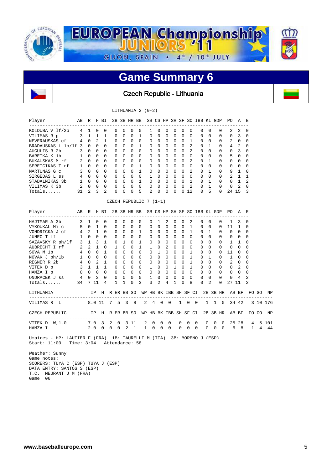

Czech Republic - Lithuania

#### LITHUANIA 2 (0-2)

| Player             | AВ            | R            | Н            | ВI       | 2B           |              | 3B HR        | BB       |          |          | SB CS HP     |              | SH SF    | SO.            |              |              | IBB KL GDP   | PO.           | A              | E             |
|--------------------|---------------|--------------|--------------|----------|--------------|--------------|--------------|----------|----------|----------|--------------|--------------|----------|----------------|--------------|--------------|--------------|---------------|----------------|---------------|
| KOLDUBA V 1f/2b    | 4             | 1            | <sup>0</sup> | $\Omega$ | $\Omega$     | $\Omega$     | $\Omega$     | 0        |          | $\Omega$ | 0            | 0            | $\Omega$ | <sup>0</sup>   | $\Omega$     | 0            | $\Omega$     | $\mathcal{L}$ | 2              | $\Omega$      |
| VILIMAS R p        | 3             |              |              |          | $\Omega$     | $\Omega$     | $\Omega$     | 1        | $\Omega$ | $\Omega$ | $\Omega$     | $\Omega$     | $\Omega$ | $\Omega$       | $\Omega$     | $\Omega$     | $\Omega$     | $\Omega$      | 3              | $\Omega$      |
| NEVERAUSKAS cf     | 4             | $\Omega$     | 2            |          | $\Omega$     | $\Omega$     | $\Omega$     | $\Omega$ | $\Omega$ | $\Omega$ | $\Omega$     | $\Omega$     | $\Omega$ |                | $\Omega$     | $\Omega$     | $\Omega$     | 2             | $\Omega$       | $\Omega$      |
| BRADAUSKAS L 1b/1f | २             | <sup>n</sup> | $\Omega$     | $\Omega$ | $\Omega$     | $\Omega$     | $\Omega$     | 1        | $\Omega$ | $\Omega$ | $\Omega$     | $\Omega$     | $\Omega$ | 2              | $\Omega$     |              | $\Omega$     | 4             | $\mathfrak{D}$ | $\cap$        |
| AUGULIS R 2b       | 3             | $\Omega$     | $\Omega$     | $\Omega$ | $\Omega$     | $\Omega$     | $\Omega$     | $\Omega$ | $\Omega$ | $\Omega$ | $\Omega$     | $\Omega$     | $\Omega$ | $\overline{2}$ | $\Omega$     | $\Omega$     | $\Omega$     | $\Omega$      | 3              | $\Omega$      |
| BAREIKA K 1b       |               | $\Omega$     | $\Omega$     | $\Omega$ | $\Omega$     | $\Omega$     | $\Omega$     | $\Omega$ | $\Omega$ | $\Omega$ | $\Omega$     | $\Omega$     | $\Omega$ | <sup>0</sup>   | $\Omega$     | <sup>0</sup> | $\Omega$     | 5             | $\Omega$       | $\cap$        |
| BUKAUSKAS M rf     |               | $\Omega$     | $\Omega$     | $\Omega$ | $\Omega$     | $\Omega$     | $\Omega$     | $\Omega$ | $\Omega$ | $\Omega$ | $\Omega$     | $\Omega$     | $\Omega$ | $\mathfrak{D}$ | $\Omega$     |              | $\Omega$     | 0             | $\Omega$       | $\Omega$      |
| SEREICIKAS T rf    |               | $\cap$       | $\cap$       | $\Omega$ | $\Omega$     | $\cap$       | $\Omega$     | 1        | $\Omega$ | $\Omega$ | $\Omega$     | $\Omega$     | $\Omega$ | <sup>n</sup>   | $\Omega$     | <sup>0</sup> | $\Omega$     | $\Omega$      | $\Omega$       | $\cap$        |
| MARTUNAS G c       |               | $\Omega$     | $\Omega$     | $\Omega$ | $\Omega$     | $\Omega$     | $\Omega$     |          | $\Omega$ | $\Omega$ | $\Omega$     | $\Omega$     | $\Omega$ | $\mathcal{L}$  | $\Omega$     |              | $\Omega$     | 9             |                | $\cap$        |
| SIRGEDAS L ss      | 4             | $\Omega$     | $\Omega$     | $\Omega$ | $\Omega$     | $\Omega$     | $\Omega$     | $\Omega$ |          | $\Omega$ | $\Omega$     | $\Omega$     | $\Omega$ | $\Omega$       | $\Omega$     | <sup>0</sup> | $\Omega$     | $\mathcal{L}$ | 1              |               |
| STADALNIKAS 3b     |               | $\Omega$     | $\Omega$     | $\Omega$ | $\Omega$     | $\Omega$     | $\Omega$     |          | $\Omega$ | $\Omega$ | $\Omega$     | $\Omega$     | $\Omega$ |                | $\Omega$     |              | $\Omega$     | $\Omega$      |                | $\mathcal{D}$ |
| VILIMAS K 3b       | $\mathcal{L}$ | $\Omega$     | $\Omega$     | $\Omega$ | $\Omega$     | $\Omega$     | $\Omega$     | $\Omega$ | $\Omega$ | $\Omega$ | $\Omega$     | $\Omega$     | $\Omega$ | $\mathfrak{D}$ | $\Omega$     |              | $\Omega$     | $\Omega$      | $\mathcal{L}$  | $\Omega$      |
| $Totals$           | 31            | 2            | ζ            | 2        | <sup>0</sup> | <sup>n</sup> | <sup>0</sup> | 5        | $2^{1}$  | $\cap$   | <sup>0</sup> | <sup>0</sup> | U        | 12             | <sup>0</sup> | 5            | <sup>0</sup> | 24            | 15             | ર             |

CZECH REPUBLIC 7 (1-1)

| Player<br>AB R H BI           |                |              |                   |               |          |                          |               |                      | 2B 3B HR BB SB CS HP SH SF SO IBB KL GDP          |                              |                            |                       |              |                      |                |          |              |          |                      | PO A E         |                |                                   |          |     |
|-------------------------------|----------------|--------------|-------------------|---------------|----------|--------------------------|---------------|----------------------|---------------------------------------------------|------------------------------|----------------------------|-----------------------|--------------|----------------------|----------------|----------|--------------|----------|----------------------|----------------|----------------|-----------------------------------|----------|-----|
| HAJTMAR A 3b                  | 3              | $\mathbf{1}$ | $\Omega$          | $\Omega$      |          | $\Omega$                 | <sup>0</sup>  | 0                    | $\Omega$                                          | $\Omega$                     | 1                          | 2                     | $\Omega$     | $\Omega$             | 2              | $\Omega$ | $\Omega$     |          | $\Omega$             | $\mathbf{1}$   | 3              | $\Omega$                          |          |     |
| VYKOUKAL Mi c                 | 5              |              | $0\quad 1$        | $\Omega$      |          | $\Omega$                 | $\Omega$      | $\Omega$             | $\Omega$                                          | $\Omega$                     | <sup>0</sup>               | $\Omega$              | $\Omega$     | $\Omega$             |                | $\Omega$ | $\Omega$     |          | $\Omega$             | 11             | 1              | <sup>0</sup>                      |          |     |
| VONDRICKA J cf                |                |              | $4\quad 2\quad 1$ | $\Omega$      |          | $\Omega$                 | $\Omega$      | $\Omega$             | $\mathbf{1}$                                      | $\Omega$                     | $\Omega$                   | $\Omega$              | $\Omega$     | $\Omega$             | $\overline{1}$ | $\Omega$ | 1            |          | $\Omega$             | $\overline{0}$ | $\Omega$       | $\Omega$                          |          |     |
| JUNEC T lf                    | 1              | $\Omega$     | $\Omega$          | $\Omega$      |          | $\Omega$                 | $\Omega$      | $\Omega$             | $\Omega$                                          | $\Omega$                     | $\Omega$                   | $\Omega$              | $\Omega$     | $\Omega$             | $\Omega$       | $\Omega$ | $\Omega$     |          | $\Omega$             | $\Omega$       | $\Omega$       | 0                                 |          |     |
| SAZAVSKY R ph/lf              |                | $3 \quad 1$  | $\mathcal{L}$     | $\mathbf{1}$  |          | $\Omega$                 | $\mathbf{1}$  | $\Omega$             | $\mathbf{1}$                                      | $\Omega$                     | 0                          | $\Omega$              | $\Omega$     | $\Omega$             | $\Omega$       | $\Omega$ | $\Omega$     |          | $\Omega$             | $\mathbf{1}$   | 1              | <sup>0</sup>                      |          |     |
| AUBRECHT I rf                 | $\overline{a}$ |              | $2 \quad 1$       | $\Omega$      |          | $\mathbf{1}$             | $\Omega$      | $\Omega$             | $\mathbf{1}$                                      | $\mathbf{1}$                 | $\Omega$                   | 2                     | $\Omega$     | $\Omega$             | $\Omega$       | $\Omega$ | $\Omega$     |          | $\Omega$             | $\Omega$       | 0              | <sup>0</sup>                      |          |     |
| $4\quad 0$<br>SOVA M 1b       |                |              | $\Omega$          | $\mathbf{1}$  |          | $\Omega$                 | $\Omega$      | $\Omega$             | $\Omega$                                          | $\Omega$                     | $\mathbf{1}$               | $\Omega$              | $\Omega$     | $\Omega$             | $\mathbf{1}$   | $\Omega$ | $\Omega$     |          | $\Omega$             | 11             | 0              | $\Omega$                          |          |     |
| NOVAK J ph/1b                 | 1              | $\Omega$     | $\Omega$          | $\Omega$      |          | $\Omega$                 | $\Omega$      | $\Omega$             | $\Omega$                                          | $\Omega$                     | $\Omega$                   | $\Omega$              | $\Omega$     | $\Omega$             | $\mathbf{1}$   | $\Omega$ | 1            |          | $\Omega$             | 1              | 0              | 0                                 |          |     |
| REGNER R 2b 4                 |                | $\Omega$     | $2^{1}$           | 1             |          | $\Omega$                 | $\Omega$      | $\Omega$             | $\Omega$                                          | $\Omega$                     | 0                          | $\Omega$              | $\Omega$     | $\Omega$             | 1              | $\Omega$ | $\Omega$     |          | $\Omega$             | 2              | $\Omega$       | <sup>0</sup>                      |          |     |
| 3 <sup>1</sup><br>VITEK D p   |                |              |                   | 1             |          | $\Omega$                 | $\Omega$      | $\Omega$             | $\Omega$                                          | $\mathbf{1}$                 | 0                          | $\Omega$              | $\mathbf{1}$ | $\cap$               | $\mathbf{1}$   | $\Omega$ | $\Omega$     |          | $\Omega$             | $\Omega$       | 2              | $\Omega$                          |          |     |
| HAMZA I p                     | $\Omega$       | $\Omega$     | $\Omega$          | $\Omega$      |          | $\Omega$                 | $\Omega$      | $\Omega$             | $\Omega$                                          | $\Omega$                     | $\Omega$                   | $\overline{0}$        | $\Omega$     | $\Omega$             | $\Omega$       | $\Omega$ | $\Omega$     |          | $\Omega$             | $\Omega$       | $\Omega$       | <sup>0</sup>                      |          |     |
| ONDRACEK J ss 4 0 2           |                |              |                   | $\Omega$<br>4 |          | $\Omega$<br>$\mathbf{1}$ | $\Omega$<br>1 | $\Omega$<br>$\Omega$ | $\Omega$<br>3                                     | $\mathbf{1}$<br>$\mathbf{R}$ | $\Omega$<br>$\overline{a}$ | $\Omega$<br>4         | $\Omega$     | $\Omega$<br>$\Omega$ | $\Omega$<br>R  | $\Omega$ | $\Omega$     |          | $\Omega$<br>$\Omega$ | $\Omega$       | $\overline{4}$ | 2<br>$\mathfrak{D}$               |          |     |
| Totals                        | 34 7 11        |              |                   |               |          |                          |               |                      |                                                   |                              |                            |                       | 1            |                      |                | $\Omega$ | 2            |          |                      | 27             | 11             |                                   |          |     |
| LITHUANIA                     |                |              | ΙP                |               |          |                          |               |                      | H R ER BB SO WP HB BK IBB SH SF CI 2B 3B HR AB BF |                              |                            |                       |              |                      |                |          |              |          |                      |                |                |                                   | FO GO    |     |
| 8.0 11 7 5 3 8<br>VILIMAS R L |                |              |                   |               |          |                          |               |                      |                                                   |                              |                            | 2 4 0 0               |              | $1 \quad 0$          | $\overline{0}$ |          |              |          |                      | 1 1 0 34 42    |                |                                   | 3 10 176 |     |
| CZECH REPUBLIC                |                |              | IP                |               |          |                          | H R ER BB SO  |                      |                                                   |                              |                            | WP HB BK IBB SH SF CI |              |                      |                |          |              |          |                      | 2B 3B HR AB BF |                |                                   | FO GO    |     |
| VITEK $D$ W, $1-0$            |                |              | 7.0 3 2           |               |          | 0                        |               | 3 11                 | 2                                                 | $\Omega$                     | $\Omega$                   | $\Omega$              |              | $\Omega$             | $\Omega$       | $\Omega$ | <sup>0</sup> | $\Omega$ | $\Omega$             | 25             | 28             | ----------------------------<br>4 | -5       | 101 |
| HAMZA I                       |                |              | 2.0               | $\Omega$      | $\Omega$ | $\Omega$                 |               | $2 \quad 1$          | 1                                                 | $\Omega$                     | $\Omega$                   | $\Omega$              | $\Omega$     |                      | $\Omega$       | $\Omega$ | $\Omega$     | $\Omega$ | $\Omega$             | 6              | 8              | $\mathbf{1}$                      | 4        |     |
|                               |                |              |                   |               |          |                          |               |                      |                                                   |                              |                            |                       |              |                      |                |          |              |          |                      |                |                |                                   |          |     |

 Umpires - HP: LAUTIER F (FRA) 1B: TAURELLI M (ITA) 3B: MORENO J (ESP) Start: 11:00 Time: 3:04 Attendance: 58

 Weather: Sunny Game notes: SCORERS: TUYA C (ESP) TUYA J (ESP) DATA ENTRY: SANTOS S (ESP) T.C.: MEURANT J M (FRA) Game: 06

 $\mathbf{r}$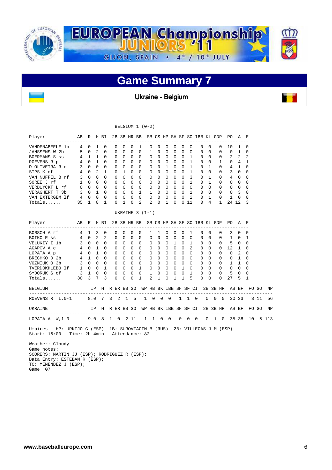

Ukraine - Belgium

| Player ABR HBI 2B3BHRBB SBCS HPSH SFSO IBBKL GDP PO A E<br>--------------- |  |  |                                                               |  |                   |                     |                                        |          |  |                  |            |                    |             |  |
|----------------------------------------------------------------------------|--|--|---------------------------------------------------------------|--|-------------------|---------------------|----------------------------------------|----------|--|------------------|------------|--------------------|-------------|--|
| VANDENABEELE 1b 4 0 1 0                                                    |  |  |                                                               |  | 0 0 0 1           |                     | $0\quad 0\quad 0\quad 0\quad 0\quad 0$ |          |  |                  | $0\quad 0$ | 0 10 1 0           |             |  |
| JANSSENS W 2b 5 0 2 0                                                      |  |  | $\mathbf 0$                                                   |  | $0\quad 0\quad 0$ |                     | 1 0 0 0 0 0                            |          |  |                  | $0\quad 0$ | $0 \t 0 \t 1 \t 0$ |             |  |
|                                                                            |  |  |                                                               |  |                   |                     |                                        |          |  |                  |            |                    |             |  |
|                                                                            |  |  |                                                               |  |                   |                     |                                        |          |  |                  |            |                    |             |  |
|                                                                            |  |  |                                                               |  |                   |                     |                                        |          |  |                  |            |                    |             |  |
|                                                                            |  |  |                                                               |  |                   |                     |                                        |          |  |                  |            |                    |             |  |
|                                                                            |  |  |                                                               |  |                   |                     |                                        |          |  |                  |            |                    | $\Omega$    |  |
|                                                                            |  |  |                                                               |  |                   |                     |                                        |          |  |                  |            |                    | 0           |  |
|                                                                            |  |  |                                                               |  |                   |                     |                                        |          |  |                  |            |                    | 0           |  |
|                                                                            |  |  |                                                               |  |                   |                     |                                        |          |  |                  |            |                    | $\mathbf 0$ |  |
|                                                                            |  |  |                                                               |  |                   |                     |                                        |          |  |                  |            |                    | $\mathbf 0$ |  |
| Totals 35 1 8 1                                                            |  |  |                                                               |  | $0 \t1 \t0 \t2$   | $2 \quad 0 \quad 1$ |                                        | $\Omega$ |  | 0 11 0 4 1 24 12 |            |                    | 3           |  |
|                                                                            |  |  |                                                               |  |                   |                     |                                        |          |  |                  |            |                    |             |  |
|                                                                            |  |  |                                                               |  | UKRAINE $3(1-1)$  |                     |                                        |          |  |                  |            |                    |             |  |
| Player ABR HBI 2B3BHRBB SBCS HP SH SF SO IBBKL GDP PO A E                  |  |  |                                                               |  |                   |                     |                                        |          |  |                  |            |                    |             |  |
|                                                                            |  |  |                                                               |  |                   |                     |                                        |          |  |                  |            |                    |             |  |
|                                                                            |  |  |                                                               |  |                   |                     |                                        |          |  |                  |            |                    |             |  |
|                                                                            |  |  |                                                               |  |                   |                     |                                        |          |  |                  |            |                    |             |  |
|                                                                            |  |  |                                                               |  |                   |                     |                                        |          |  |                  |            |                    |             |  |
|                                                                            |  |  |                                                               |  |                   |                     |                                        |          |  |                  |            |                    |             |  |
|                                                                            |  |  |                                                               |  |                   |                     |                                        |          |  |                  |            |                    |             |  |
|                                                                            |  |  |                                                               |  |                   |                     |                                        |          |  |                  |            |                    |             |  |
|                                                                            |  |  |                                                               |  |                   |                     |                                        |          |  |                  |            |                    |             |  |
|                                                                            |  |  |                                                               |  |                   |                     |                                        |          |  |                  |            |                    |             |  |
|                                                                            |  |  |                                                               |  |                   |                     |                                        |          |  |                  |            |                    |             |  |
| BELGIUM                                                                    |  |  | IP H R ER BB SO WP HB BK IBB SH SF CI 2B 3B HR AB BF FO GO NP |  |                   |                     |                                        |          |  |                  |            |                    |             |  |
| ROEVENS R L, 0-1 8.0 7 3 2 1 5 1 0 0 0 1 1 0 0 0 0 30 33 8 11 56           |  |  |                                                               |  |                   |                     |                                        |          |  |                  |            |                    |             |  |
| UKRAINE IPH RER BB SO WPHB BK IBB SH SF CI 2B 3B HR AB BF FO GO NP         |  |  |                                                               |  |                   |                     |                                        |          |  |                  |            |                    |             |  |
|                                                                            |  |  |                                                               |  |                   |                     |                                        |          |  |                  |            |                    |             |  |
| LOPATA A W, 1-0 9.0 8 1 0 2 11 1 1 0 0 0 0 0 0 1 0 35 38 10 5 113          |  |  |                                                               |  |                   |                     |                                        |          |  |                  |            |                    |             |  |
| Umpires - HP: URKIJO G (ESP) 1B: SUROVIAGIN B (RUS) 2B: VILLEGAS J M (ESP) |  |  |                                                               |  |                   |                     |                                        |          |  |                  |            |                    |             |  |
| Start: 16:00 Time: 2h 4min Attendance: 82                                  |  |  |                                                               |  |                   |                     |                                        |          |  |                  |            |                    |             |  |
| Weather: Cloudy                                                            |  |  |                                                               |  |                   |                     |                                        |          |  |                  |            |                    |             |  |
| Game notes:                                                                |  |  |                                                               |  |                   |                     |                                        |          |  |                  |            |                    |             |  |
|                                                                            |  |  |                                                               |  |                   |                     |                                        |          |  |                  |            |                    |             |  |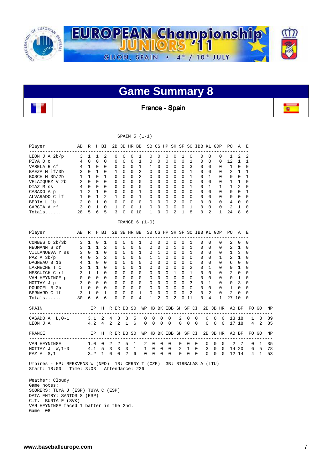

France - Spain

**TO** 

ļ,

SPAIN 5 (1-1)

| Player<br>------------------                                                        | AB R H BI      |                     |                             |                         |             |                            |                         |                            |                   | 2B 3B HR BB SB CS HP SH SF SO IBB KL GDP |                            |               |                                |                |                      |                |                              |                             |               |               | PO.               | A                | Е              |              |          |
|-------------------------------------------------------------------------------------|----------------|---------------------|-----------------------------|-------------------------|-------------|----------------------------|-------------------------|----------------------------|-------------------|------------------------------------------|----------------------------|---------------|--------------------------------|----------------|----------------------|----------------|------------------------------|-----------------------------|---------------|---------------|-------------------|------------------|----------------|--------------|----------|
| LEON J A $2b/p$                                                                     | $\mathbf{3}$   | 1                   | 1                           | 2                       |             | 0                          | 0                       | $\mathbf 0$                | 1                 | 0                                        | 0                          |               | 0                              | 0              | 1                    | 0              | 0                            | $\mathbf 0$                 |               | 0             | 1                 | 2                | 2              |              |          |
| PIVA D c                                                                            | 4              | $\Omega$            | $\Omega$                    | $\Omega$                |             | 0                          | $\Omega$                | 0                          | $\mathbf{1}$      | $\Omega$                                 | $\Omega$                   |               | $\Omega$                       | $\Omega$       | $\Omega$             | $\mathbf{1}$   | 0                            | $\Omega$                    |               | $\Omega$      | 12                | $\mathbf{1}$     | 1              |              |          |
| VARELA R cf                                                                         | 4              | 1                   | $\mathbf 0$                 | 0                       |             | 0                          | $\Omega$                | 0                          | 1                 | 1                                        | $\Omega$                   |               | 0                              | 0              | $\Omega$             | 3              | 0                            | $\Omega$                    |               | 0             | 1                 | $\Omega$         | 0              |              |          |
| BAEZA M 1f/3b                                                                       | 3              | $\overline{0}$<br>1 | $\mathbf{1}$<br>$\mathbf 0$ | 0<br>1                  |             | 1                          | $\mathbf 0$<br>0        | 0<br>$\mathbf 0$           | 2<br>2            | $\mathbf 0$<br>$\mathbf 0$               | $\mathbf 0$<br>$\mathbf 0$ |               | 0<br>0                         | 0<br>0         | 0<br>0               | 1<br>1         | 0                            | 0<br>1                      |               | 0<br>0        | 2<br>0            | 1<br>$\mathbf 0$ | 1<br>1         |              |          |
| BOSCH M 3b/2b<br>VELAZQUEZ V 2b                                                     | 1<br>2         | $\Omega$            | $\Omega$                    | $\Omega$                |             | 0<br>$\Omega$              | $\Omega$                | $\Omega$                   | $\mathbf 0$       | $\mathbf 0$                              | $\Omega$                   |               | $\Omega$                       | $\Omega$       | $\Omega$             | $\Omega$       | 0<br>$\Omega$                | $\Omega$                    |               | $\Omega$      | $\mathbf{1}$      | $\mathbf{1}$     | $\mathbf 0$    |              |          |
| DIAZ M ss                                                                           | 4              | 0                   | $\Omega$                    | $\Omega$                |             | 0                          | $\Omega$                | $\mathbf 0$                | $\mathbf 0$       | 0                                        | $\Omega$                   |               | 0                              | 0              | $\Omega$             | $\mathbf{1}$   | 0                            | $\mathbf{1}$                |               | 1             | $\mathbf{1}$      | 2                | $\Omega$       |              |          |
| CASADO A p                                                                          | $\mathbf 1$    | $\overline{2}$      | $\mathbf{1}$                | $\Omega$                |             | $\Omega$                   | $\Omega$                | $\Omega$                   | $\mathbf{1}$      | 0                                        | $\Omega$                   |               | $\Omega$                       | $\Omega$       | $\Omega$             | $\Omega$       | 0                            | $\Omega$                    |               | $\Omega$      | $\Omega$          | $\Omega$         | 1              |              |          |
| ALVARADO C 1f                                                                       | $\mathbf{1}$   | $\overline{0}$      | $\mathbf{1}$                | 2                       |             | 1                          | $\mathbf 0$             | 0                          | $\mathbf{1}$      | $\mathbf 0$                              | $\mathbf 0$                |               | 0                              | $\mathbf 0$    | $\Omega$             | $\Omega$       | 0                            | $\mathbf 0$                 |               | 0             | 0                 | $\mathbf 0$      | 0              |              |          |
| BEDIA L 1b                                                                          | 2              | $\Omega$            | $\overline{1}$              | $\Omega$                |             | $\Omega$                   | $\Omega$                | $\Omega$                   | $\Omega$          | $\Omega$                                 | $\Omega$                   |               | $\Omega$                       | $\overline{2}$ | $\Omega$             | $\Omega$       | $\mathbf 0$                  | $\Omega$                    |               | $\Omega$      | $\overline{4}$    | $\Omega$         | $\Omega$       |              |          |
| GARCIA A rf                                                                         | 3              | 0                   | $\mathbf{1}$                | $\Omega$                |             | 1                          | $\Omega$                | 0                          | 1                 | 0                                        | 0                          |               | 0                              | 0              | 0                    | 1              | 0                            | $\Omega$                    |               | $\Omega$      | 2                 | 1                | 0              |              |          |
| $Totals$                                                                            | 28             | 5                   | 6                           | 5                       |             | 3                          | $\Omega$                |                            | 010               | $\mathbf{1}$                             | $\Omega$                   |               | 0                              | 2              | 1                    | 8              | $\Omega$                     | 2                           |               | 1             | 24                | 8                | 6              |              |          |
|                                                                                     |                |                     |                             |                         |             |                            |                         |                            |                   | FRANCE $6(1-0)$                          |                            |               |                                |                |                      |                |                              |                             |               |               |                   |                  |                |              |          |
| Player<br>-------------------------                                                 | AВ             | R                   |                             | H BI                    | ----        |                            | 2B 3B HR BB             |                            |                   |                                          |                            |               |                                |                |                      |                | SB CS HP SH SF SO IBB KL GDP |                             |               |               | PO.<br>---------- | A                | E<br>$-$       |              |          |
| COMBES $0$ $2b/3b$                                                                  | 3              | 1                   | 0                           | 1                       |             | 0                          | 0                       | 0                          | 1                 | 0                                        | 0                          |               | 0                              | 0              | 0                    | 1              | 0                            | $\mathbf 0$                 |               | 0             | 2                 | 0                | 0              |              |          |
| NEUMANN S cf                                                                        | $\mathbf{3}$   | $\mathbf{1}$        | $\mathbf{1}$                | $\overline{a}$          |             | $\Omega$                   | $\Omega$                | $\Omega$                   | $\mathbf 0$       | $\Omega$                                 | $\Omega$                   |               | $\Omega$                       | $\mathbf{1}$   | $\Omega$             | $\mathbf{1}$   | 0                            | $\Omega$                    |               | 0             | 2                 | $\mathbf{1}$     | $\Omega$       |              |          |
| VILLANUEVA Y SS                                                                     |                | 3 0 1               |                             | $\Omega$                |             | 0                          | 0                       | 0                          | 1                 | 0                                        | $\mathbf{1}$               |               | $\mathbf{0}$<br>$\overline{0}$ |                | $\Omega$             | 1              | 0                            | $\Omega$                    |               | 0             | 1                 | 3                | 0              |              |          |
| PAZ $A$ $3b/p$                                                                      | $\overline{4}$ | $\Omega$            | $\overline{2}$              | 2                       |             | $\Omega$                   | $\Omega$                | $\Omega$                   | $\Omega$          | $\mathbf{1}$                             | $\mathbf{1}$               |               | $\Omega$                       | $\Omega$       | $\Omega$             | $\Omega$       | 0                            | $\Omega$                    |               | $\mathbf 1$   | 2                 | $\mathbf{1}$     | $\Omega$       |              |          |
| DAGNEAU B 1b                                                                        | 4              | <sup>1</sup>        | $\mathbf 0$                 | $\mathbf 0$             |             | 0                          | $\mathbf 0$             | $\mathbf 0$                | $\mathbf 0$       | $\mathbf 0$                              | $\Omega$                   |               | $\overline{0}$                 | 0              | $\mathbf 0$          | $\overline{0}$ | 0                            | $\mathbf 0$                 |               | $\mathbf 0$   | 6                 | 0                | 0              |              |          |
| LAKMECHE T C                                                                        | 3              | $\mathbf{1}$        | $\overline{1}$              | $\Omega$                |             | 0                          | $\Omega$                | $\mathbf 0$                | $\mathbf{1}$      | 0                                        | $\Omega$                   |               | 0                              | $\mathbf 0$    | $\Omega$             | 2              | $\mathbf 0$                  | $\mathbf{1}$                |               | 0             | 9                 | $\mathbf{1}$     | 0              |              |          |
| MESGUICH C rf                                                                       | 3              | $1\quad 1$          |                             | $\Omega$                |             | $\Omega$                   | 0                       | 0                          | $\mathbf 0$       | $\mathbf 0$                              | $\Omega$                   |               | $\mathbf{0}$<br>$\overline{1}$ |                | $\Omega$             | $\mathbf{1}$   | 0                            | $\Omega$                    |               | $\Omega$      | 2                 | 0                | 0              |              |          |
| VAN HEYNINGE p                                                                      | 0              | $3 \quad 0$         | $0\quad 0$<br>$\mathbf{0}$  | $\Omega$<br>$\mathbf 0$ |             | $\mathbf 0$<br>$\mathbf 0$ | $\Omega$<br>$\mathbf 0$ | $\mathbf 0$<br>$\mathbf 0$ | 0<br>$\mathbf{0}$ | $\mathbf 0$<br>$\mathbf 0$               | $\mathbf 0$<br>$\mathbf 0$ |               | $0\quad 0$<br>$\mathbf 0$      | $\mathbf 0$    | $\Omega$<br>$\Omega$ | $\Omega$<br>3  | $\mathbf 0$<br>$\mathbf 0$   | $\mathbf 0$<br>$\mathbf{1}$ |               | 0<br>0        | 0<br>$\mathbf 0$  | 1<br>3           | 0<br>0         |              |          |
| MOTTAY J p<br>POURCEL B 2b                                                          | 1              | $\circ$             | $\bigcirc$                  | $\Omega$                |             | $\mathbf 0$                | $\Omega$                | $\mathbf 0$                | $\mathbf{0}$      | $\mathbf 0$                              | $\Omega$                   |               | $\mathbf 0$                    | $\mathbf 0$    | $\Omega$             | $\Omega$       | $\mathbf 0$                  | $\mathbf 0$                 |               | $\mathbf 0$   | $\mathbf{1}$      | $\mathbf 0$      | $\mathbf 0$    |              |          |
| BERNARD C 1f                                                                        | 3              | 1                   | $\mathbf 0$                 | 1                       |             | $\Omega$                   | 0                       | $\mathbf 0$                | 1                 | 0                                        | $\mathbf 0$                |               | 0                              | $\Omega$       | $\Omega$             | $\overline{2}$ | 0                            | 2                           |               | $\Omega$      | 2                 | $\Omega$         | $\Omega$       |              |          |
| $Totals$                                                                            | 30             | 6                   | 6                           | 6                       |             | $\Omega$                   | $\Omega$                | $\Omega$                   | 4                 | 1                                        | 2                          |               | 0                              | 2              | $\Omega$             | 11             | $\Omega$                     | 4                           |               | 1             | 27 10             |                  | 0              |              |          |
| SPAIN                                                                               |                |                     | IP                          |                         |             |                            | H R ER BB SO            |                            |                   | WP HB BK IBB SH SF CI                    |                            |               |                                |                |                      |                |                              |                             |               |               | 2B 3B HR AB BF    |                  |                | FO GO        | ΝP       |
|                                                                                     |                |                     |                             |                         |             |                            | 3                       |                            |                   |                                          |                            |               |                                |                |                      |                |                              |                             |               |               |                   |                  |                |              |          |
| CASADO A L, 0-1<br>LEON J A                                                         |                | 3.1<br>4.2          |                             | 2<br>4                  | 4<br>2      | 3<br>2                     | $\mathbf{1}$            | 5<br>6                     |                   | 0<br>$\Omega$                            | 0<br>$\Omega$              | 0<br>$\Omega$ | 0<br>$\Omega$                  | 2<br>$\Omega$  |                      | 0<br>$\Omega$  | 0<br>$\Omega$                | 0<br>$\Omega$               | 0<br>$\Omega$ | 0<br>$\Omega$ |                   | 13 18<br>17 18   | 1<br>4         | 3<br>2       | 89<br>85 |
|                                                                                     |                |                     |                             |                         |             |                            |                         |                            |                   |                                          |                            |               |                                |                |                      |                |                              |                             |               |               |                   |                  |                |              |          |
| FRANCE<br>______________________________                                            |                |                     | IP.                         | Η                       |             |                            | R ER BB SO              |                            |                   | WP HB BK IBB SH SF CI                    |                            |               |                                |                |                      |                |                              |                             |               | 2B 3B HR      |                   | AB BF            |                | FO GO        | NP       |
| VAN HEYNINGE                                                                        |                |                     | $1.0 \t 0$                  |                         | 2           | 2                          | 5                       | 1                          |                   | 2                                        | $\mathbf 0$                | 0             | 0                              | 0              |                      | 0              | 0                            | $\mathbf 0$                 | 0             | 0             | 2                 | 7                | 0              | 1            | 35       |
| MOTTAY $J \ W, 1-0$                                                                 |                |                     | 4.1                         | 5                       | 3           | 3                          | 3                       | 1                          |                   | 1                                        | 0                          | 0             | $\mathbf 0$                    | 2              |                      | $\mathbf{1}$   | 0                            | 3                           | 0             | 0             |                   | 14 20            | 6              | - 5          | 78       |
| PAZ A S, 1                                                                          |                | 3.2                 |                             | $\mathbf{1}$            | $\mathbf 0$ | $\mathbf 0$                | 2                       | 6                          |                   | 0                                        | $\mathbf 0$                | $\mathbf 0$   | $\mathbf{0}$                   | $\mathbf 0$    |                      | $\mathbf 0$    | $\mathbf{0}$                 | $\mathbf{0}$                | $\mathbf 0$   | $\mathbf{0}$  |                   | 12 14            | $\overline{4}$ | $\mathbf{1}$ | 53       |
| Umpires - HP: BERKVENS W (NED) 1B: CERNY T (CZE)<br>Start: 18:00<br>Weather: Cloudy | Time: $3:03$   |                     |                             |                         |             |                            |                         |                            | Attendance: 226   |                                          |                            |               |                                |                |                      |                | 3B: BIRBALAS A (LTU)         |                             |               |               |                   |                  |                |              |          |

 Game notes: SCORERS: TUYA J (ESP) TUYA C (ESP) DATA ENTRY: SANTOS S (ESP) C.T.: BUNTA F (SVK) VAN HEYNINGE faced 1 batter in the 2nd. Game: 08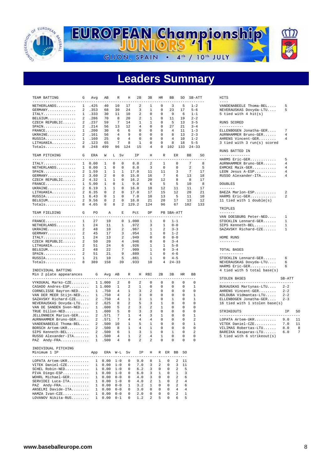



## **Leaders Summary**

| TEAM BATTING                                        | G              | Avg            | AВ                      | R                           | H              | 2B                   | 3B             | HR             |                | BB                        | SO           | SB-ATT             |     | HITS                                                                                                                                                                                                                                                                                                                                                                                         |
|-----------------------------------------------------|----------------|----------------|-------------------------|-----------------------------|----------------|----------------------|----------------|----------------|----------------|---------------------------|--------------|--------------------|-----|----------------------------------------------------------------------------------------------------------------------------------------------------------------------------------------------------------------------------------------------------------------------------------------------------------------------------------------------------------------------------------------------|
| -----------------------<br>NETHERLANDS<br>$GERMANY$ | 2              | 1 .425<br>.353 | 40<br>68                | 10<br>30                    | 17<br>24       | 2<br>3               | 1<br>1         | $\Omega$<br>0  |                | 3<br>23                   | 5<br>17      | $1 - 2$<br>$5 - 6$ |     | $\frac{1}{2}$<br>5<br>VANDENABEELE Thoma-BEL<br>5<br>NEVERAUSKAS Dovyda-LTU                                                                                                                                                                                                                                                                                                                  |
| ITALY.                                              | $\mathbf{1}$   | .333           | 30                      | 11                          | 10             | 2                    | $\Omega$       | $\mathbf 0$    |                | 9                         | 6            | $1 - 1$            |     | 5 tied with 4 $hit(s)$                                                                                                                                                                                                                                                                                                                                                                       |
| BELGIUM                                             |                | 2 .286         | 70                      | 8                           | 20             | 2                    | 1              | $\mathbf 0$    |                | 11                        | 19           | $2 - 2$            |     |                                                                                                                                                                                                                                                                                                                                                                                              |
| CZECH REPUBLIC                                      | 2              | .237           | 59                      | 7                           | 14             | 1                    | 1              | 0              |                | - 5                       | 13           | $3 - 5$            |     | RUNS SCORED                                                                                                                                                                                                                                                                                                                                                                                  |
| SPAIN.                                              |                | 2 .214         | 56                      | 13                          | 12             | 4                    | 0              | $\mathbf 0$    |                | 27                        | 21           | $3 - 4$            |     | -----------                                                                                                                                                                                                                                                                                                                                                                                  |
| $FRANCE$                                            | $\mathbf{1}$   | .200           | 30                      | 6                           | 6              | 0                    | 0              | $\mathbf 0$    |                | 4                         | 11           | $1 - 3$            |     | 7<br>ELLENBOGEN Jonatha-GER                                                                                                                                                                                                                                                                                                                                                                  |
| UKRAINE                                             |                | 2 .161         | 56                      | $\overline{4}$              | 9              | $\mathbf 0$          | $\Omega$       | 0              |                | 8                         | 13           | $2 - 3$            |     | 4<br>AURNHAMMER Bruno-GER                                                                                                                                                                                                                                                                                                                                                                    |
| RUSSIA                                              |                | 1 .160         | 25                      | 0                           | 4              | $\mathbf 0$          | 0              | 0              |                | $\overline{4}$            | 10           | $1 - 2$            |     | 4<br>AHRENS Vincent-GER                                                                                                                                                                                                                                                                                                                                                                      |
| LITHUANIA                                           |                | 2 .123         | 65                      | 7                           | 8              | $\mathbf{1}$         | $\Omega$       | $\mathbf 0$    |                | 8                         | 18           | $5 - 5$            |     | 3 tied with 3 run(s) scored                                                                                                                                                                                                                                                                                                                                                                  |
| Totals                                              | 8              | .248           | 499                     | 96                          | 124            | 15                   | 4              | 0              | 102            |                           | 133          | $24 - 33$          |     |                                                                                                                                                                                                                                                                                                                                                                                              |
|                                                     |                |                |                         |                             |                |                      |                |                |                |                           |              |                    |     | RUNS BATTED IN                                                                                                                                                                                                                                                                                                                                                                               |
| TEAM PITCHING<br>_________________                  | G              | ERA            | M                       | L Sv                        |                | IP                   | Н              | R              |                | ER                        |              | <b>BB</b>          | SO  | --------------                                                                                                                                                                                                                                                                                                                                                                               |
|                                                     |                |                |                         |                             |                |                      |                |                |                |                           |              |                    |     | 5<br>HARMS Eric-GER<br>AURNHAMMER Bruno-GER                                                                                                                                                                                                                                                                                                                                                  |
| ITALY.                                              | $\mathbf{1}$   | 0.00           | 1                       | 0<br>0                      |                | 8.0                  | 2              | 1              |                | 0                         |              | 7                  | 8   | $\overline{4}$                                                                                                                                                                                                                                                                                                                                                                               |
| NETHERLANDS                                         | $\mathbf{1}$   | 0.00           | 1                       | 0<br>0                      |                | 8.0                  | 3              | 0              |                | 0                         |              | 2                  | 5   | EHMCKE Maik-GER<br>4                                                                                                                                                                                                                                                                                                                                                                         |
| $SPAIN.$                                            | $\overline{a}$ | 1.59           | 1                       | 1<br>1                      |                | 17.0                 | 11             | 11             |                | 3                         |              | $7\phantom{.0}$    | 17  | LEON Jesus A-ESP<br>4                                                                                                                                                                                                                                                                                                                                                                        |
| GERMANY                                             | $\overline{a}$ | 3.60           | $\overline{\mathbf{c}}$ | $\mathbf 0$<br>0            |                | 15.0                 | 16             | 7              |                | 6                         |              | 13                 | 18  | RUSSO Alexander-ITA<br>4                                                                                                                                                                                                                                                                                                                                                                     |
| CZECH REPUBLIC                                      |                | 2 4.32         | $\mathbf{1}$            | $\mathbf{1}$<br>$\mathbf 0$ |                | 16.2                 | 20             | 12             |                | 8                         |              | 8                  | 17  |                                                                                                                                                                                                                                                                                                                                                                                              |
| $\texttt{FRANCE} \dots \dots \dots \dots \dots$     | 1              | 5.00           | 1                       | 0<br>1                      |                | 9.0                  | 6              | 5              |                | 5                         |              | 10                 | 8   | <b>DOUBLES</b>                                                                                                                                                                                                                                                                                                                                                                               |
| UKRAINE                                             | $\overline{a}$ | 6.19           | $\mathbf{1}$            | $\mathbf 0$<br>1            |                | 16.0                 | 18             | 12             |                | 11                        |              | 11                 | 17  | $\frac{1}{2} \frac{1}{2} \frac{1}{2} \frac{1}{2} \frac{1}{2} \frac{1}{2} \frac{1}{2} \frac{1}{2} \frac{1}{2} \frac{1}{2} \frac{1}{2} \frac{1}{2} \frac{1}{2} \frac{1}{2} \frac{1}{2} \frac{1}{2} \frac{1}{2} \frac{1}{2} \frac{1}{2} \frac{1}{2} \frac{1}{2} \frac{1}{2} \frac{1}{2} \frac{1}{2} \frac{1}{2} \frac{1}{2} \frac{1}{2} \frac{1}{2} \frac{1}{2} \frac{1}{2} \frac{1}{2} \frac{$ |
| LITHUANIA                                           |                | 2, 6.35        | $\mathbf{0}$            | 2<br>$\mathbf 0$            |                | 17.0                 | 17             | 15             |                | 12                        |              | 20                 | 21  | 2<br>BAEZA Marlon-ESP                                                                                                                                                                                                                                                                                                                                                                        |
| RUSSIA                                              |                | 1, 6.43        | $\Omega$                | $\mathbf{1}$<br>$\Omega$    |                | 7.0                  | 10             | 13             |                | 5                         |              | 11                 | 10  | HARMS Eric-GER<br>$\overline{a}$                                                                                                                                                                                                                                                                                                                                                             |
| BELGIUM                                             |                | 2 9.56         | 0                       | 2<br>0                      |                | 16.0                 | 21             | 20             |                | 17                        |              | 13                 | 12  | 11 tied with 1 double( $s$ )                                                                                                                                                                                                                                                                                                                                                                 |
| Totals                                              |                | 8 4.65         | 8                       | 8<br>2                      |                | 129.2                | 124            | 96             |                | 67                        |              | 102                | 133 |                                                                                                                                                                                                                                                                                                                                                                                              |
|                                                     |                |                |                         |                             |                |                      |                |                |                |                           |              |                    |     | TRIPLES<br>سامات سامات                                                                                                                                                                                                                                                                                                                                                                       |
| TEAM FIELDING<br>____________________________       | G              | PO<br>----     | Α<br>$=$ $=$ $=$        | E<br>$- - -$                |                | Pct<br>$\frac{1}{2}$ | DP             |                |                | PB SBA-ATT<br>----------- |              |                    |     | VAN DOESBURG Peter-NED<br>1                                                                                                                                                                                                                                                                                                                                                                  |
| $FRANCE$                                            |                |                |                         |                             |                |                      |                |                |                |                           |              |                    |     | $\mathbf{1}$<br>STOCKLIN Lennard-GER                                                                                                                                                                                                                                                                                                                                                         |
|                                                     | $\mathbf{1}$   | 27             | 10                      | 0                           |                | 1.000                | 1              | 0              |                | $1 - 1$<br>$0 - 0$        |              |                    |     |                                                                                                                                                                                                                                                                                                                                                                                              |
| NETHERLANDS                                         | $\mathbf{1}$   | 24             | 11                      | 1                           |                | .972                 | 3              | $\mathbf{1}$   |                |                           |              |                    |     | $\mathbf{1}$<br>SIPS Kenneth-BEL                                                                                                                                                                                                                                                                                                                                                             |
| UKRAINE                                             | 2              | 48             | 10                      | 2                           |                | .967                 | $\mathbf{1}$   | $\overline{a}$ |                | $3 - 3$                   |              |                    |     | SAZAVSKY Richard-CZE<br>$\mathbf{1}$                                                                                                                                                                                                                                                                                                                                                         |
| GERMANY                                             | 2              | 45             | 17                      | 3                           |                | .954                 | $\mathbf{1}$   | $\mathbf 0$    |                | $1 - 2$                   |              |                    |     |                                                                                                                                                                                                                                                                                                                                                                                              |
| ITALY.                                              | 1              | 24             | 13                      | 2                           |                | .949                 | 0              | $\mathbf{0}$   |                | $0 - 0$                   |              |                    |     | HOME RUNS                                                                                                                                                                                                                                                                                                                                                                                    |
| CZECH REPUBLIC                                      | 2              | 50             | 20                      | 4                           |                | .946                 | $\Omega$       | $\mathbf{0}$   |                | $3 - 4$                   |              |                    |     | ---------                                                                                                                                                                                                                                                                                                                                                                                    |
| LITHUANIA                                           | 2              | 51             | 24                      | 6                           |                | .926                 | $\mathbf{1}$   | $\mathbf{1}$   |                | $5 - 8$                   |              |                    |     |                                                                                                                                                                                                                                                                                                                                                                                              |
| BELGIUM                                             | 2              | 48             | 22                      | 7                           |                | .909                 | $\mathbf{1}$   | $\mathbf 0$    |                | $3 - 4$                   |              |                    |     | TOTAL BASES                                                                                                                                                                                                                                                                                                                                                                                  |
| SPAIN.                                              | 2              | 51             | 21                      | 9                           |                | .889                 | 1              | $\mathbf 0$    |                | $4 - 6$                   |              |                    |     | -----------                                                                                                                                                                                                                                                                                                                                                                                  |
| RUSSIA                                              | 1              | 21             | 10                      | 5                           |                | .861                 | 1              | 0              |                | $4 - 5$                   |              |                    |     | STOCKLIN Lennard-GER<br>6                                                                                                                                                                                                                                                                                                                                                                    |
| Totals                                              | 8              | 389            | 158                     | 39                          |                | .933                 | 10             | 4              |                | $24 - 33$                 |              |                    |     | NEVERAUSKAS Dovyda-LTU<br>6                                                                                                                                                                                                                                                                                                                                                                  |
|                                                     |                |                |                         |                             |                |                      |                |                |                |                           |              |                    |     | HARMS Eric-GER<br>6                                                                                                                                                                                                                                                                                                                                                                          |
| INDIVIDUAL BATTING<br>Min 2 plate appearances       |                | G              | Avg                     | AB                          | R              |                      | H RBI          | 2B             |                | 3B                        | HR           | BB                 |     | 4 tied with 5 total base(s)                                                                                                                                                                                                                                                                                                                                                                  |
| --------------------------------                    |                |                |                         |                             | $- - -$        |                      | ----           | $= -$          |                | ----                      | $- - -$      | $- - -$            |     | STOLEN BASES<br>$SB-ATT$                                                                                                                                                                                                                                                                                                                                                                     |
| VYKOUKAL Marko-CZE                                  |                |                | 1 1.000                 | 2                           | 0              | 2                    | $\Omega$       | 0              |                | $\Omega$                  | $\mathbf 0$  | 0                  |     | __________________________________                                                                                                                                                                                                                                                                                                                                                           |
| CASADO Andres-ESP                                   |                |                | 1 1,000                 | 1                           | 2              | $\mathbf{1}$         | $\Omega$       | 0              |                | $\Omega$                  | $\Omega$     | $\mathbf{1}$       |     | $2 - 2$<br>BUKAUSKAS Martynas-LTU                                                                                                                                                                                                                                                                                                                                                            |
| CORNELISSE Bayron-NED                               |                |                | 1 .750                  | 4                           | $\mathbf{1}$   | 3                    | 2              | $\mathbf 0$    |                | $\mathbf 0$               | $\mathbf 0$  | $\mathbf 0$        |     | AHRENS Vincent-GER<br>$2 - 2$                                                                                                                                                                                                                                                                                                                                                                |
| VAN DER MEER Stijn-NED                              |                | $\mathbf{1}$   | .750                    | 4                           | 2              | 3                    | 0              | $\mathbf 0$    |                | $\mathbf 0$               | $\mathbf 0$  | $\mathbf{1}$       |     | KOLDUBA Vidmantas-LTU<br>$2 - 2$                                                                                                                                                                                                                                                                                                                                                             |
| SAZAVSKY Richard-CZE                                |                |                | 2 .750                  | 4                           | $\mathbf{1}$   | 3                    | $\mathbf{1}$   | $\mathbf 0$    |                | $\mathbf{1}$              | $\mathbf 0$  | $\mathbf{1}$       |     | ELLENBOGEN Jonatha-GER<br>$2 - 3$                                                                                                                                                                                                                                                                                                                                                            |
| NEVERAUSKAS Dovyda-LTU                              |                | 2              | .625                    | 8                           | $\overline{a}$ | 5                    | 3              | $\mathbf{1}$   |                | $\mathbf 0$               | 0            | $\mathbf 0$        |     | 16 tied with 1 stolen base(s)                                                                                                                                                                                                                                                                                                                                                                |
| VAN DE SANDEN Sven-NED                              |                | $\mathbf{1}$   | .600                    | 5                           | 2              | 3                    | 2              | 1              |                | 0                         | 0            | 0                  |     |                                                                                                                                                                                                                                                                                                                                                                                              |
| TRUE Dillon-NED                                     |                | $\mathbf{1}$   | .600                    | 5                           | 0              | 3                    | 3              | $\mathbf 0$    |                | 0                         | 0            | $\mathbf 0$        |     | STRIKEOUTS<br>ΙP<br>SO                                                                                                                                                                                                                                                                                                                                                                       |
| JELLONNECK Marius-GER                               |                | 2              | .571                    | 7                           | $\mathbf{1}$   | $\overline{4}$       | 3              | $\mathbf{1}$   |                | $\mathbf 0$               | 0            | $\mathbf{1}$       |     | ----------------------------------<br>$- - -$                                                                                                                                                                                                                                                                                                                                                |
| AURNHAMMER Bruno-GER                                |                | 2              | .571                    | 7                           | 4              | $\overline{4}$       | $\overline{4}$ | 0              |                | 0                         | 0            | $\overline{a}$     |     | 9.0<br>LOPATA Artem-UKR<br>11                                                                                                                                                                                                                                                                                                                                                                |
| VANDENABEELE Thoma-BEL                              |                | $\overline{a}$ | .500                    | 10                          | $\mathbf{1}$   | 5                    | $\mathbf{1}$   | $\mathbf 0$    |                | $\mathbf 0$               | $\mathbf 0$  | $\mathbf 1$        |     | VITEK Daniel-CZE<br>7.0<br>11                                                                                                                                                                                                                                                                                                                                                                |
| BORSCH Artem-UKR                                    |                | 2              | .500                    | 8                           | 1              | 4                    | $\mathbf{1}$   | $\mathbf 0$    |                | 0                         | 0            | 0                  |     | VILIMAS Robertas-LTU<br>8<br>8.0                                                                                                                                                                                                                                                                                                                                                             |
| SIPS Kenneth-BEL                                    |                | 2              | .500                    | 6                           | $\mathbf{1}$   | 3                    | $\mathbf{1}$   | $\mathbf 0$    |                | $\mathbf{1}$              | $\mathbf 0$  | 2                  |     | $\overline{7}$<br>6.0<br>BAREIKA Kasparas-LTU                                                                                                                                                                                                                                                                                                                                                |
| RUSSO Alexander-ITA                                 |                |                | 1.500                   | $\overline{4}$              | $\mathbf{1}$   | $\overline{c}$       | 4              | $\mathbf{1}$   |                | $\mathbf 0$               | 0            | 0                  |     | 5 tied with 6 strikeout(s)                                                                                                                                                                                                                                                                                                                                                                   |
| PAZ Andy-FRA                                        |                | $\mathbf{1}$   | .500                    | 4                           | $\mathbf 0$    | 2                    | 2              | $\mathbf 0$    |                | $\mathbf 0$               | 0            | 0                  |     |                                                                                                                                                                                                                                                                                                                                                                                              |
|                                                     |                |                |                         |                             |                |                      |                |                |                |                           |              |                    |     |                                                                                                                                                                                                                                                                                                                                                                                              |
| INDIVIDUAL PITCHING                                 |                |                |                         |                             |                |                      |                |                |                |                           |              |                    |     |                                                                                                                                                                                                                                                                                                                                                                                              |
| Minimum 1 IP                                        |                | App            |                         | ERA W-L Sv                  |                | ΙP                   | Η              |                |                | R ER BB                   | - SO         |                    |     |                                                                                                                                                                                                                                                                                                                                                                                              |
| --------------------------------                    |                |                |                         |                             |                |                      |                |                |                |                           |              |                    |     |                                                                                                                                                                                                                                                                                                                                                                                              |
| LOPATA Artem-UKR                                    |                | $\mathbf{1}$   | 0.00                    | $1 - 0$                     | 0              | 9.0                  | 8              | 1              | 0              | 2                         | 11           |                    |     |                                                                                                                                                                                                                                                                                                                                                                                              |
| VITEK Daniel-CZE                                    |                | 1              | 0.00                    | $1 - 0$                     | 0              | 7.0                  | 3              | 2              | $\mathbf 0$    | 3                         | 11           |                    |     |                                                                                                                                                                                                                                                                                                                                                                                              |
| SCHEL Robin-NED                                     |                |                | $1 \quad 0.00$          | $1 - 0$                     | 0              | 6.2                  | 3              | 0              | $\mathbf 0$    | 2                         | 5            |                    |     |                                                                                                                                                                                                                                                                                                                                                                                              |
| PIVA Diego-ESP                                      |                |                | $1 \quad 0.00$          | $1 - 0$                     | 0              | 6.0                  | 3              | $\mathbf{1}$   | $\mathbf 0$    | 1                         | 3            |                    |     |                                                                                                                                                                                                                                                                                                                                                                                              |
| WOHRL Michael-GER                                   |                |                | $1 \quad 0.00$          | $0 - 0$                     | 0              | 4.0                  | 3              | $\mathbf 0$    | $\overline{0}$ | 2                         | 6            |                    |     |                                                                                                                                                                                                                                                                                                                                                                                              |
| SERVIDEI Luca-ITA                                   |                |                | $1 \t 0.00$             | $1 - 0$                     | 0              | 4.0                  | 2              | $\mathbf{1}$   | $\mathbf 0$    | 2                         | 4            |                    |     |                                                                                                                                                                                                                                                                                                                                                                                              |
| PAZ Andy-FRA                                        |                |                | $1 \quad 0.00$          | $0 - 0$                     | 1              | 3.2                  | 1              | 0              | $\mathbf 0$    | 2                         | 6            |                    |     |                                                                                                                                                                                                                                                                                                                                                                                              |
| ANSELMI Davide-ITA                                  |                | 1              | 0.00                    | $0 - 0$                     | 0              | 3.0                  | 0              | 0              | $\mathbf 0$    | 4                         | 4            |                    |     |                                                                                                                                                                                                                                                                                                                                                                                              |
| HAMZA Ivan-CZE                                      |                | $\mathbf{1}$   | 0.00                    | $0 - 0$                     | 0              | 2.0                  | 0              | 0              | 0              | 2                         | $\mathbf{1}$ |                    |     |                                                                                                                                                                                                                                                                                                                                                                                              |
| LOVANOV Nikita-RUS                                  |                | $\mathbf{1}$   | 0.00                    | $0 - 1$                     | 0              | 1.2                  | 2              | 5              | 0              | 6                         | 5            |                    |     |                                                                                                                                                                                                                                                                                                                                                                                              |

| .s                                                                                                                   |                                                                           |               |
|----------------------------------------------------------------------------------------------------------------------|---------------------------------------------------------------------------|---------------|
| . .<br>VDENABEELE Thoma-BEL<br>ERAUSKAS Dovyda-LTU<br>ied with 4 hit(s):                                             | 5<br>5                                                                    |               |
| IS SCORED<br>.                                                                                                       |                                                                           |               |
| ENBOGEN Jonatha-GER<br>NHAMMER Bruno-GER<br>RENS Vincent-GER<br>ied with 3 run(s) scored                             | 7<br>$\overline{4}$<br>$\overline{4}$                                     |               |
| <b>IS BATTED IN</b><br>.                                                                                             |                                                                           |               |
| RMS Eric-GER<br>NHAMMER Bruno-GER<br>CKE Maik-GER<br>N Jesus A-ESP<br>SSO Alexander-ITA                              | 5<br>$\overline{4}$<br>$\overline{4}$<br>$\overline{4}$<br>$\overline{4}$ |               |
| JBLES                                                                                                                |                                                                           |               |
| .<br>ZA Marlon-ESP<br>MS Eric-GER<br>tied with 1 double(s)                                                           | $\overline{2}$<br>$\overline{a}$                                          |               |
| PLES<br>.                                                                                                            |                                                                           |               |
| DOESBURG Peter-NED<br>CKLIN Lennard-GER<br>S Kenneth-BEL<br>ZAVSKY Richard-CZE                                       | $\,1$<br>1<br>1<br>$\mathbf{1}$                                           |               |
| <b>IE RUNS</b><br>.,                                                                                                 |                                                                           |               |
| TAL BASES                                                                                                            |                                                                           |               |
| .<br>CKLIN Lennard-GER<br>ERAUSKAS Dovyda-LTU<br>MS Eric-GER<br>:ied with 5 total base(s)                            | 6<br>6<br>6                                                               |               |
| LEN BASES                                                                                                            | SB-ATT                                                                    |               |
| (AUSKAS Martynas-LTU<br>RENS Vincent-GER<br>DUBA Vidmantas-LTU<br>.ENBOGEN Jonatha-GER<br>tied with 1 stolen base(s) | $2 - 2$<br>$2 - 2$<br>$2 - 2$<br>$2 - 3$                                  |               |
| <b>IKEOUTS</b>                                                                                                       | IP SO<br>$\cdot$ = = = = = $\cdot$                                        | $-1$          |
| PATA Artem-UKR $9.0$ 11<br>EK Daniel-CZE<br>IMAS Robertas-LTU<br>REIKA Kasparas-LTU<br>ied with 6 strikeout(s)       | 7.0<br>$\bf 8$ . $\bf 0$<br>6.0                                           | 11<br>-8<br>7 |
|                                                                                                                      |                                                                           |               |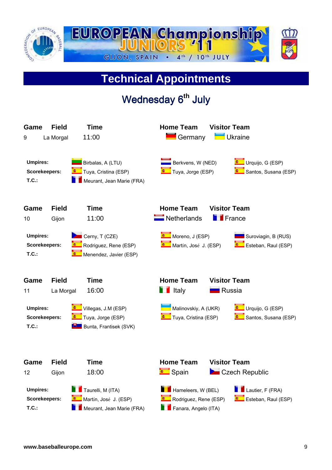

## **Technical Appointments**

## Wednesday 6<sup>th</sup> July